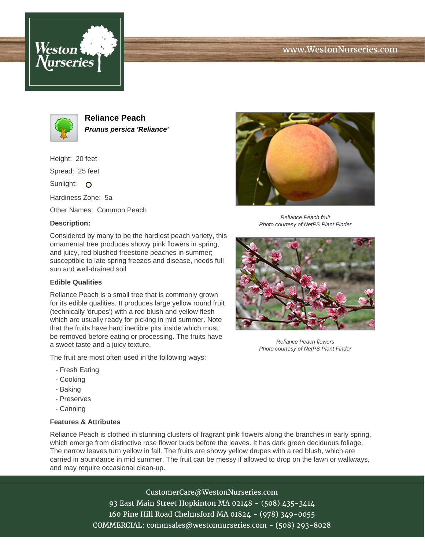





**Reliance Peach Prunus persica 'Reliance'**

Height: 20 feet

Spread: 25 feet

Sunlight: O

Hardiness Zone: 5a

Other Names: Common Peach

## **Description:**



## **Edible Qualities**

Reliance Peach is a small tree that is commonly grown for its edible qualities. It produces large yellow round fruit (technically 'drupes') with a red blush and yellow flesh which are usually ready for picking in mid summer. Note that the fruits have hard inedible pits inside which must be removed before eating or processing. The fruits have a sweet taste and a juicy texture.

The fruit are most often used in the following ways:

- Fresh Eating
- Cooking
- Baking
- Preserves
- Canning

## **Features & Attributes**

Reliance Peach is clothed in stunning clusters of fragrant pink flowers along the branches in early spring, which emerge from distinctive rose flower buds before the leaves. It has dark green deciduous foliage. The narrow leaves turn yellow in fall. The fruits are showy yellow drupes with a red blush, which are carried in abundance in mid summer. The fruit can be messy if allowed to drop on the lawn or walkways, and may require occasional clean-up.

> CustomerCare@WestonNurseries.com 93 East Main Street Hopkinton MA 02148 - (508) 435-3414 160 Pine Hill Road Chelmsford MA 01824 - (978) 349-0055 COMMERCIAL: commsales@westonnurseries.com - (508) 293-8028



Reliance Peach fruit Photo courtesy of NetPS Plant Finder



Reliance Peach flowers Photo courtesy of NetPS Plant Finder